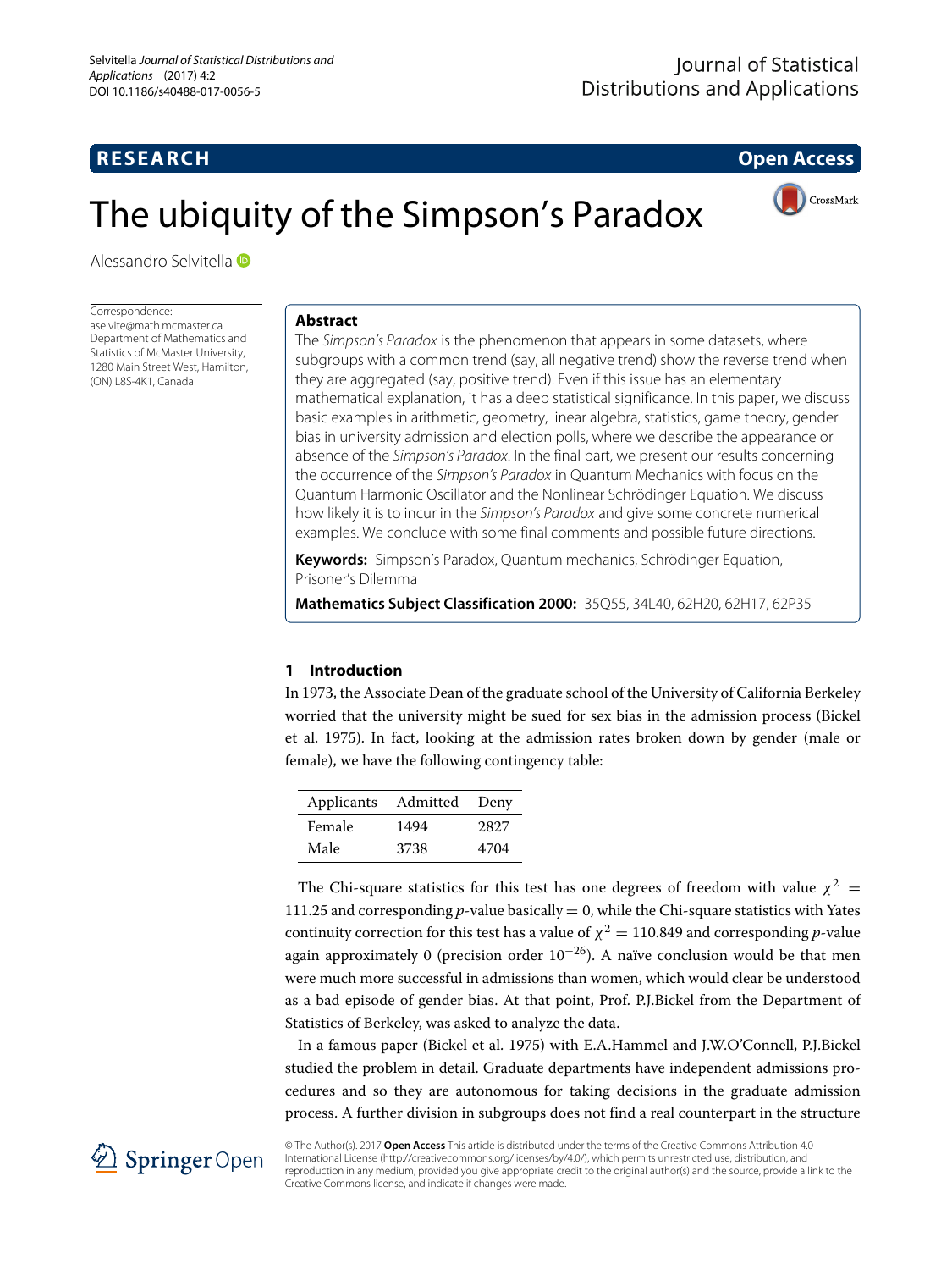## **RESEARCH Open Access**

CrossMark

# The ubiquity of the Simpson's Paradox

Alessandro Selvitella

Correspondence: [aselvite@math.mcmaster.ca](mailto: aselvite@math.mcmaster.ca) Department of Mathematics and Statistics of McMaster University, 1280 Main Street West, Hamilton, (ON) L8S-4K1, Canada

## **Abstract**

The Simpson's Paradox is the phenomenon that appears in some datasets, where subgroups with a common trend (say, all negative trend) show the reverse trend when they are aggregated (say, positive trend). Even if this issue has an elementary mathematical explanation, it has a deep statistical significance. In this paper, we discuss basic examples in arithmetic, geometry, linear algebra, statistics, game theory, gender bias in university admission and election polls, where we describe the appearance or absence of the Simpson's Paradox. In the final part, we present our results concerning the occurrence of the Simpson's Paradox in Quantum Mechanics with focus on the Quantum Harmonic Oscillator and the Nonlinear Schrödinger Equation. We discuss how likely it is to incur in the Simpson's Paradox and give some concrete numerical examples. We conclude with some final comments and possible future directions.

**Keywords:** Simpson's Paradox, Quantum mechanics, Schrödinger Equation, Prisoner's Dilemma

**Mathematics Subject Classification 2000:** 35Q55, 34L40, 62H20, 62H17, 62P35

## **1 Introduction**

In 1973, the Associate Dean of the graduate school of the University of California Berkeley worried that the university might be sued for sex bias in the admission process (Bickel et al. [1975\)](#page-15-0). In fact, looking at the admission rates broken down by gender (male or female), we have the following contingency table:

| Applicants | Admitted | Deny |
|------------|----------|------|
| Female     | 1494     | 2827 |
| Male       | 3738     | 4704 |

The Chi-square statistics for this test has one degrees of freedom with value  $\chi^2$  = 111.25 and corresponding  $p$ -value basically = 0, while the Chi-square statistics with Yates continuity correction for this test has a value of  $\chi^2 = 110.849$  and corresponding *p*-value again approximately 0 (precision order  $10^{-26}$ ). A naïve conclusion would be that men were much more successful in admissions than women, which would clear be understood as a bad episode of gender bias. At that point, Prof. P.J.Bickel from the Department of Statistics of Berkeley, was asked to analyze the data.

In a famous paper (Bickel et al. [1975\)](#page-15-0) with E.A.Hammel and J.W.O'Connell, P.J.Bickel studied the problem in detail. Graduate departments have independent admissions procedures and so they are autonomous for taking decisions in the graduate admission process. A further division in subgroups does not find a real counterpart in the structure



© The Author(s). 2017 **Open Access** This article is distributed under the terms of the Creative Commons Attribution 4.0 International License [\(http://creativecommons.org/licenses/by/4.0/\)](http://creativecommons.org/licenses/by/4.0/), which permits unrestricted use, distribution, and reproduction in any medium, provided you give appropriate credit to the original author(s) and the source, provide a link to the Creative Commons license, and indicate if changes were made.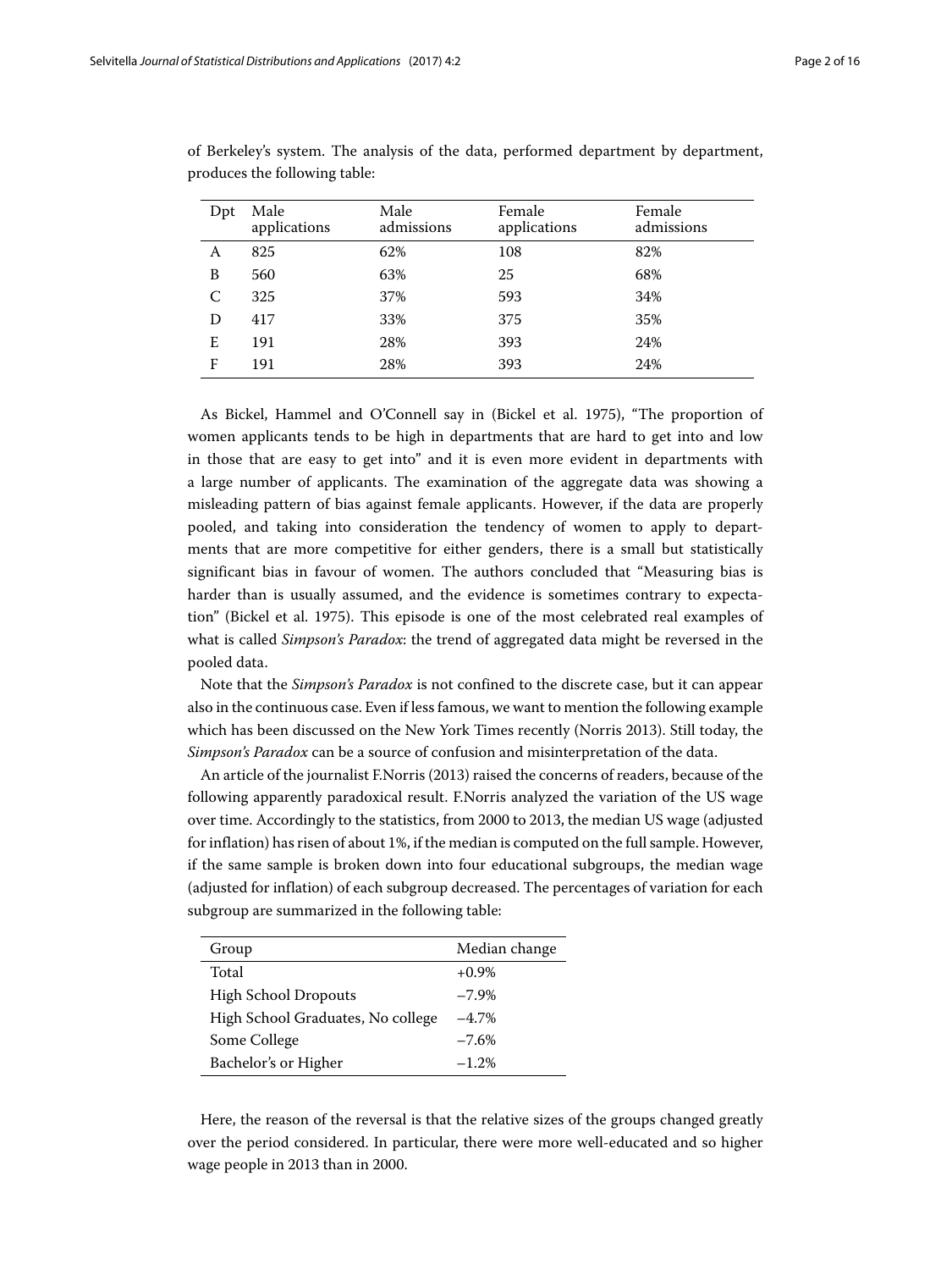| Dpt | Male<br>applications | Male<br>admissions | Female<br>applications | Female<br>admissions |
|-----|----------------------|--------------------|------------------------|----------------------|
| А   | 825                  | 62%                | 108                    | 82%                  |
| B   | 560                  | 63%                | 25                     | 68%                  |
| C   | 325                  | 37%                | 593                    | 34%                  |
| D   | 417                  | 33%                | 375                    | 35%                  |
| E   | 191                  | 28%                | 393                    | 24%                  |
| F   | 191                  | 28%                | 393                    | 24%                  |

of Berkeley's system. The analysis of the data, performed department by department, produces the following table:

As Bickel, Hammel and O'Connell say in (Bickel et al. [1975\)](#page-15-0), "The proportion of women applicants tends to be high in departments that are hard to get into and low in those that are easy to get into" and it is even more evident in departments with a large number of applicants. The examination of the aggregate data was showing a misleading pattern of bias against female applicants. However, if the data are properly pooled, and taking into consideration the tendency of women to apply to departments that are more competitive for either genders, there is a small but statistically significant bias in favour of women. The authors concluded that "Measuring bias is harder than is usually assumed, and the evidence is sometimes contrary to expectation" (Bickel et al. [1975\)](#page-15-0). This episode is one of the most celebrated real examples of what is called *Simpson's Paradox*: the trend of aggregated data might be reversed in the pooled data.

Note that the *Simpson's Paradox* is not confined to the discrete case, but it can appear also in the continuous case. Even if less famous, we want to mention the following example which has been discussed on the New York Times recently (Norris [2013\)](#page-15-1). Still today, the *Simpson's Paradox* can be a source of confusion and misinterpretation of the data.

An article of the journalist F.Norris [\(2013\)](#page-15-1) raised the concerns of readers, because of the following apparently paradoxical result. F.Norris analyzed the variation of the US wage over time. Accordingly to the statistics, from 2000 to 2013, the median US wage (adjusted for inflation) has risen of about 1%, if the median is computed on the full sample. However, if the same sample is broken down into four educational subgroups, the median wage (adjusted for inflation) of each subgroup decreased. The percentages of variation for each subgroup are summarized in the following table:

| Group                             | Median change |
|-----------------------------------|---------------|
| Total                             | $+0.9\%$      |
| <b>High School Dropouts</b>       | $-7.9%$       |
| High School Graduates, No college | $-4.7\%$      |
| Some College                      | $-7.6%$       |
| Bachelor's or Higher              | $-1.2%$       |

Here, the reason of the reversal is that the relative sizes of the groups changed greatly over the period considered. In particular, there were more well-educated and so higher wage people in 2013 than in 2000.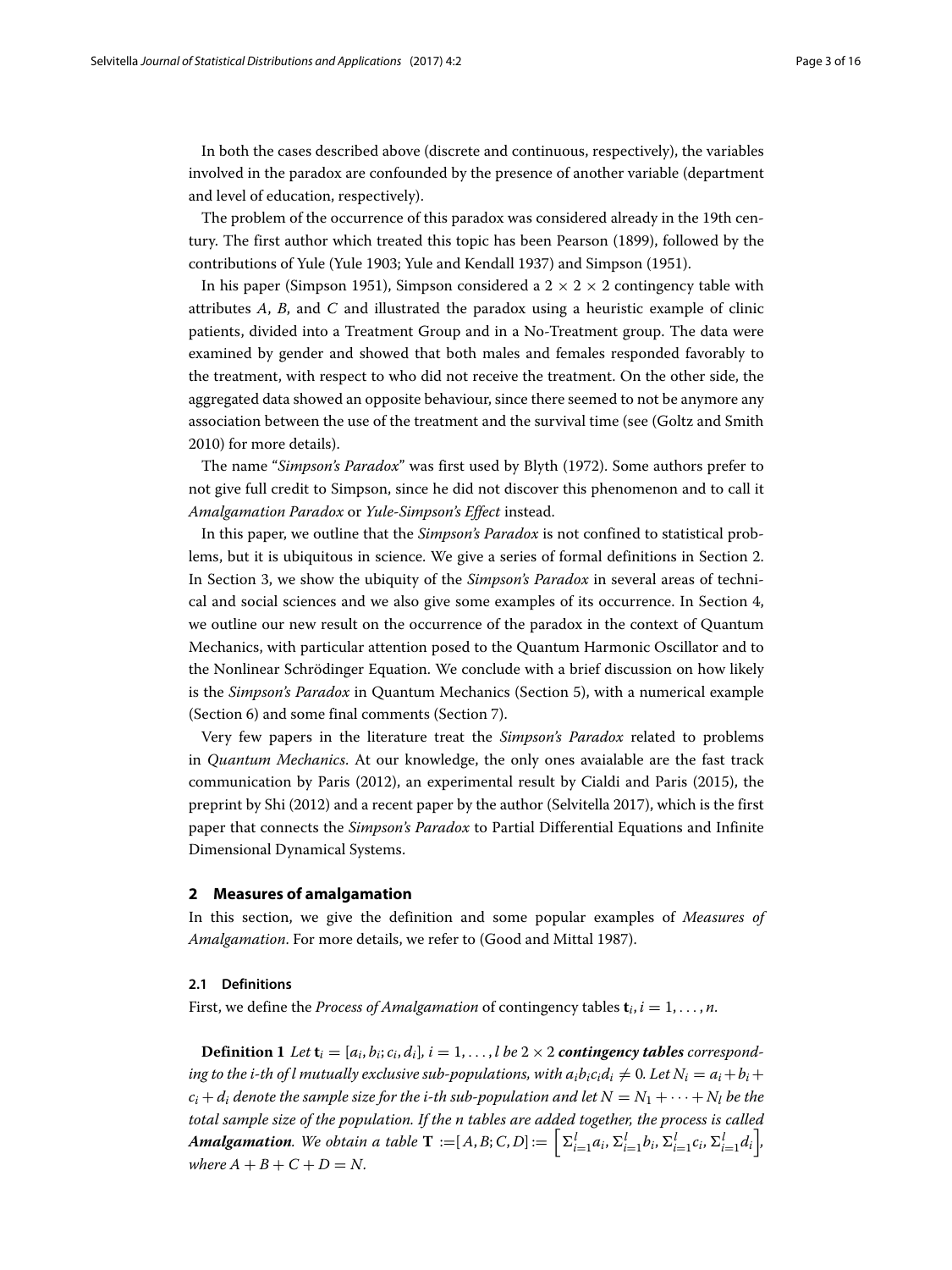In both the cases described above (discrete and continuous, respectively), the variables involved in the paradox are confounded by the presence of another variable (department and level of education, respectively).

The problem of the occurrence of this paradox was considered already in the 19th century. The first author which treated this topic has been Pearson [\(1899\)](#page-15-2), followed by the contributions of Yule (Yule [1903;](#page-15-3) Yule and Kendall [1937\)](#page-15-4) and Simpson [\(1951\)](#page-15-5).

In his paper (Simpson [1951\)](#page-15-5), Simpson considered a  $2 \times 2 \times 2$  contingency table with attributes *A*, *B*, and *C* and illustrated the paradox using a heuristic example of clinic patients, divided into a Treatment Group and in a No-Treatment group. The data were examined by gender and showed that both males and females responded favorably to the treatment, with respect to who did not receive the treatment. On the other side, the aggregated data showed an opposite behaviour, since there seemed to not be anymore any association between the use of the treatment and the survival time (see (Goltz and Smith [2010\)](#page-15-6) for more details).

The name "*Simpson's Paradox*" was first used by Blyth [\(1972\)](#page-15-7). Some authors prefer to not give full credit to Simpson, since he did not discover this phenomenon and to call it *Amalgamation Paradox* or *Yule-Simpson's Effect* instead.

In this paper, we outline that the *Simpson's Paradox* is not confined to statistical problems, but it is ubiquitous in science. We give a series of formal definitions in Section [2.](#page-2-0) In Section [3,](#page-4-0) we show the ubiquity of the *Simpson's Paradox* in several areas of technical and social sciences and we also give some examples of its occurrence. In Section [4,](#page-7-0) we outline our new result on the occurrence of the paradox in the context of Quantum Mechanics, with particular attention posed to the Quantum Harmonic Oscillator and to the Nonlinear Schrödinger Equation. We conclude with a brief discussion on how likely is the *Simpson's Paradox* in Quantum Mechanics (Section [5\)](#page-9-0), with a numerical example (Section [6\)](#page-13-0) and some final comments (Section [7\)](#page-14-0).

Very few papers in the literature treat the *Simpson's Paradox* related to problems in *Quantum Mechanics*. At our knowledge, the only ones avaialable are the fast track communication by Paris [\(2012\)](#page-15-8), an experimental result by Cialdi and Paris [\(2015\)](#page-15-9), the preprint by Shi [\(2012\)](#page-15-10) and a recent paper by the author (Selvitella [2017\)](#page-15-11), which is the first paper that connects the *Simpson's Paradox* to Partial Differential Equations and Infinite Dimensional Dynamical Systems.

#### <span id="page-2-0"></span>**2 Measures of amalgamation**

In this section, we give the definition and some popular examples of *Measures of Amalgamation*. For more details, we refer to (Good and Mittal [1987\)](#page-15-12).

#### **2.1 Definitions**

First, we define the *Process of Amalgamation* of contingency tables  $\mathbf{t}_i$ ,  $i = 1, \ldots, n$ .

**Definition 1** Let  $\mathbf{t}_i = [a_i, b_i; c_i, d_i], i = 1, \ldots, l$  be  $2 \times 2$  contingency tables corresponding to the i-th of l mutually exclusive sub-populations, with  $a_ib_ic_id_i \neq 0$ . Let  $N_i = a_i + b_i +$  $c_i + d_i$  *denote the sample size for the i-th sub-population and let*  $N = N_1 + \cdots + N_l$  *be the total sample size of the population. If the n tables are added together, the process is called* **Amalgamation**. We obtain a table  $\mathbf{T} := [A, B; C, D] := \left[\sum_{i=1}^{l} a_i, \sum_{i=1}^{l} b_i, \sum_{i=1}^{l} c_i, \sum_{i=1}^{l} d_i\right]$ *where*  $A + B + C + D = N$ .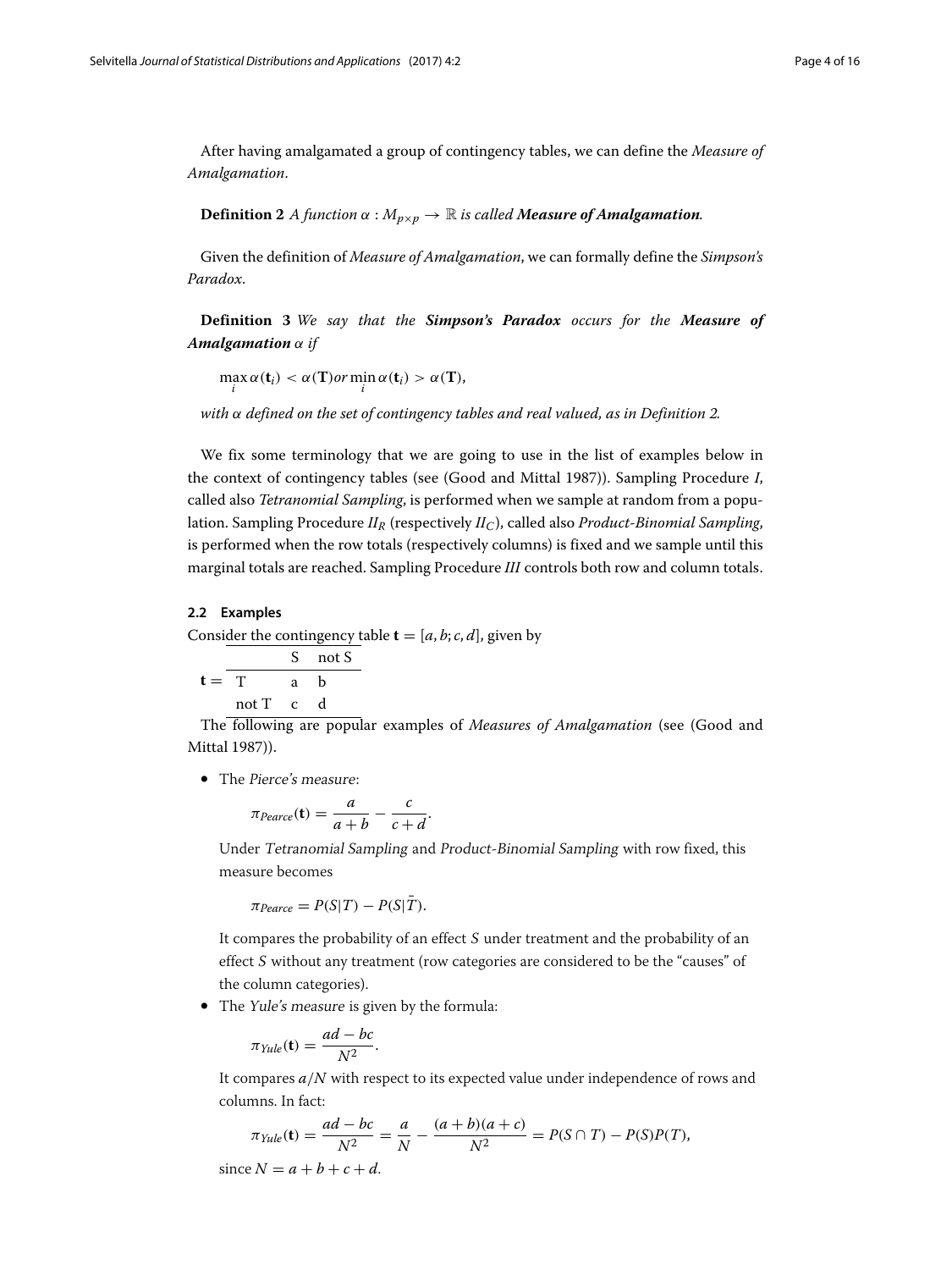After having amalgamated a group of contingency tables, we can define the *Measure of Amalgamation*.

<span id="page-3-0"></span>**Definition 2** *A function*  $\alpha : M_{p \times p} \to \mathbb{R}$  *is called Measure of Amalgamation.* 

Given the definition of *Measure of Amalgamation*, we can formally define the *Simpson's Paradox*.

<span id="page-3-1"></span>**Definition 3** *We say that the Simpson's Paradox occurs for the Measure of Amalgamation* α *if*

 $\max_i \alpha(\mathbf{t}_i) < \alpha(\mathbf{T})$ or  $\min_i \alpha(\mathbf{t}_i) > \alpha(\mathbf{T})$ ,

*with* α *defined on the set of contingency tables and real valued, as in Definition [2.](#page-3-0)*

We fix some terminology that we are going to use in the list of examples below in the context of contingency tables (see (Good and Mittal [1987\)](#page-15-12)). Sampling Procedure *I*, called also *Tetranomial Sampling*, is performed when we sample at random from a population. Sampling Procedure *IIR* (respectively *IIC*), called also *Product-Binomial Sampling*, is performed when the row totals (respectively columns) is fixed and we sample until this marginal totals are reached. Sampling Procedure *III* controls both row and column totals.

#### **2.2 Examples**

Consider the contingency table  $\mathbf{t} = [a, b; c, d]$ , given by

$$
\mathbf{t} = \frac{S \quad \text{not } S}{T \quad \text{a} \quad \mathbf{b}}
$$
  
not T \quad c \quad d

The following are popular examples of *Measures of Amalgamation* (see (Good and Mittal [1987\)](#page-15-12)).

• The Pierce's measure:

$$
\pi_{\text{Perace}}(\mathbf{t}) = \frac{a}{a+b} - \frac{c}{c+d}.
$$

Under Tetranomial Sampling and Product-Binomial Sampling with row fixed, this measure becomes

 $\pi_{\text{Percentage}} = P(S|T) - P(S|\overline{T}).$ 

It compares the probability of an effect <sup>S</sup> under treatment and the probability of an effect <sup>S</sup> without any treatment (row categories are considered to be the "causes" of the column categories).

• The Yule's measure is given by the formula:

$$
\pi_{Yule}(\mathbf{t}) = \frac{ad - bc}{N^2}.
$$

It compares *a*/*N* with respect to its expected value under independence of rows and columns. In fact:

$$
\pi_{Yule}(\mathbf{t}) = \frac{ad - bc}{N^2} = \frac{a}{N} - \frac{(a+b)(a+c)}{N^2} = P(S \cap T) - P(S)P(T),
$$

 $\text{since } N = a + b + c + d.$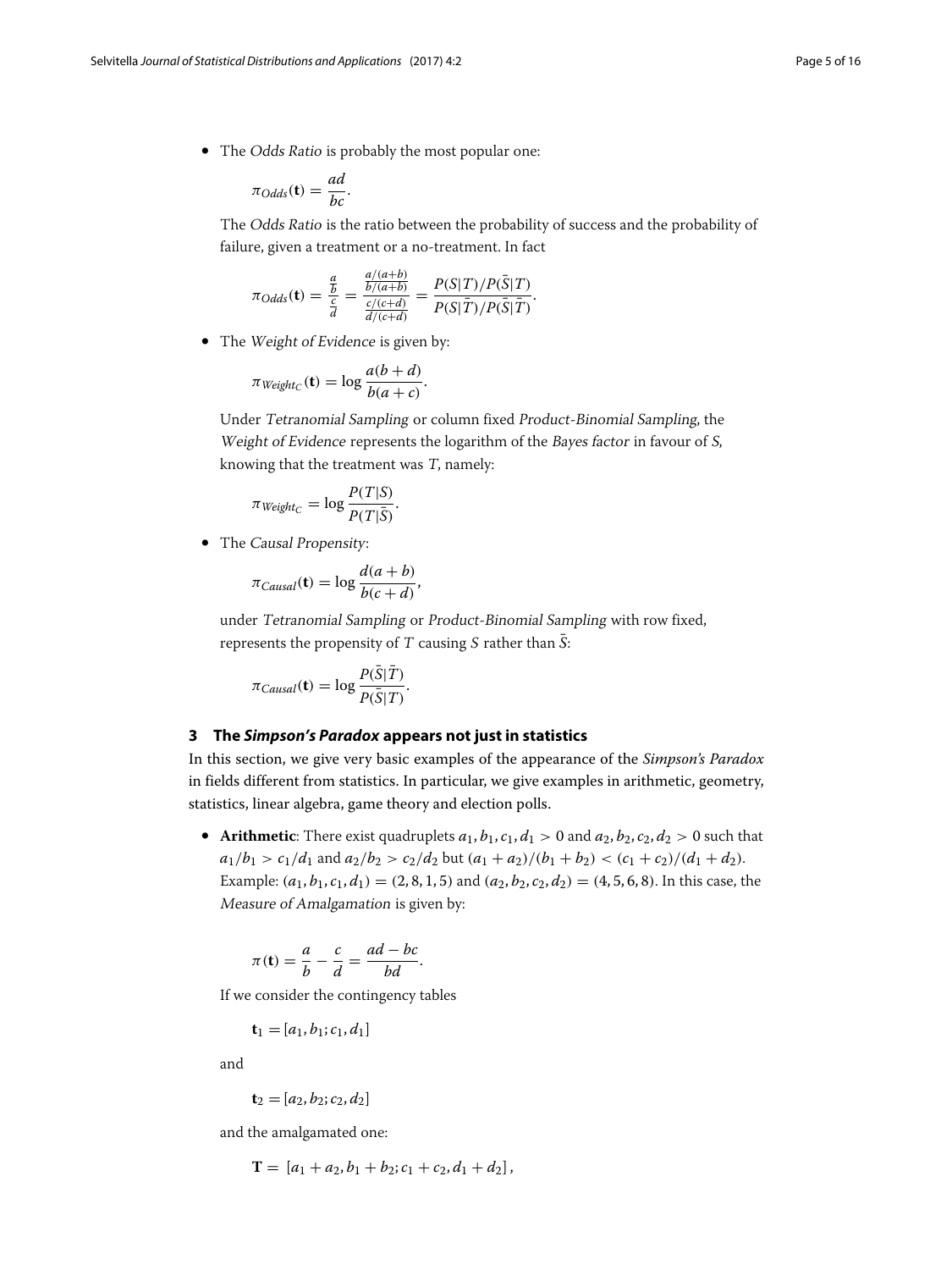• The Odds Ratio is probably the most popular one:

$$
\pi_{Odds}(\mathbf{t}) = \frac{ad}{bc}.
$$

The Odds Ratio is the ratio between the probability of success and the probability of failure, given a treatment or a no-treatment. In fact

$$
\pi_{Odds}(\mathbf{t}) = \frac{\frac{a}{b}}{\frac{c}{d}} = \frac{\frac{a/(a+b)}{b/(a+b)}}{\frac{c/(c+d)}{d/(c+d)}} = \frac{P(S|T)/P(\bar{S}|T)}{P(S|\bar{T})/P(\bar{S}|\bar{T})}.
$$

• The Weight of Evidence is given by:

$$
\pi_{Weight_C}(\mathbf{t}) = \log \frac{a(b+d)}{b(a+c)}.
$$

Under Tetranomial Sampling or column fixed Product-Binomial Sampling, the Weight of Evidence represents the logarithm of the Bayes factor in favour of <sup>S</sup>, knowing that the treatment was <sup>T</sup>, namely:

$$
\pi_{Weight_C} = \log \frac{P(T|S)}{P(T|\bar{S})}.
$$

• The Causal Propensity:

$$
\pi_{Causal}(\mathbf{t}) = \log \frac{d(a+b)}{b(c+d)},
$$

under Tetranomial Sampling or Product-Binomial Sampling with row fixed, represents the propensity of T causing S rather than  $\overline{S}$ :

$$
\pi_{Causal}(\mathbf{t}) = \log \frac{P(\bar{S}|\bar{T})}{P(\bar{S}|T)}.
$$

### <span id="page-4-0"></span>**3 The** *Simpson's Paradox* **appears not just in statistics**

In this section, we give very basic examples of the appearance of the *Simpson's Paradox* in fields different from statistics. In particular, we give examples in arithmetic, geometry, statistics, linear algebra, game theory and election polls.

• **Arithmetic**: There exist quadruplets  $a_1, b_1, c_1, d_1 > 0$  and  $a_2, b_2, c_2, d_2 > 0$  such that  $a_1/b_1 > c_1/d_1$  and  $a_2/b_2 > c_2/d_2$  but  $(a_1 + a_2)/(b_1 + b_2) < (c_1 + c_2)/(d_1 + d_2)$ . Example:  $(a_1, b_1, c_1, d_1) = (2, 8, 1, 5)$  and  $(a_2, b_2, c_2, d_2) = (4, 5, 6, 8)$ . In this case, the Measure of Amalgamation is given by:

$$
\pi(\mathbf{t}) = \frac{a}{b} - \frac{c}{d} = \frac{ad - bc}{bd}.
$$

If we consider the contingency tables

$$
\mathbf{t}_1 = [a_1, b_1; c_1, d_1]
$$

and

$$
\mathbf{t}_2 = [a_2, b_2; c_2, d_2]
$$

and the amalgamated one:

$$
\mathbf{T} = [a_1 + a_2, b_1 + b_2; c_1 + c_2, d_1 + d_2],
$$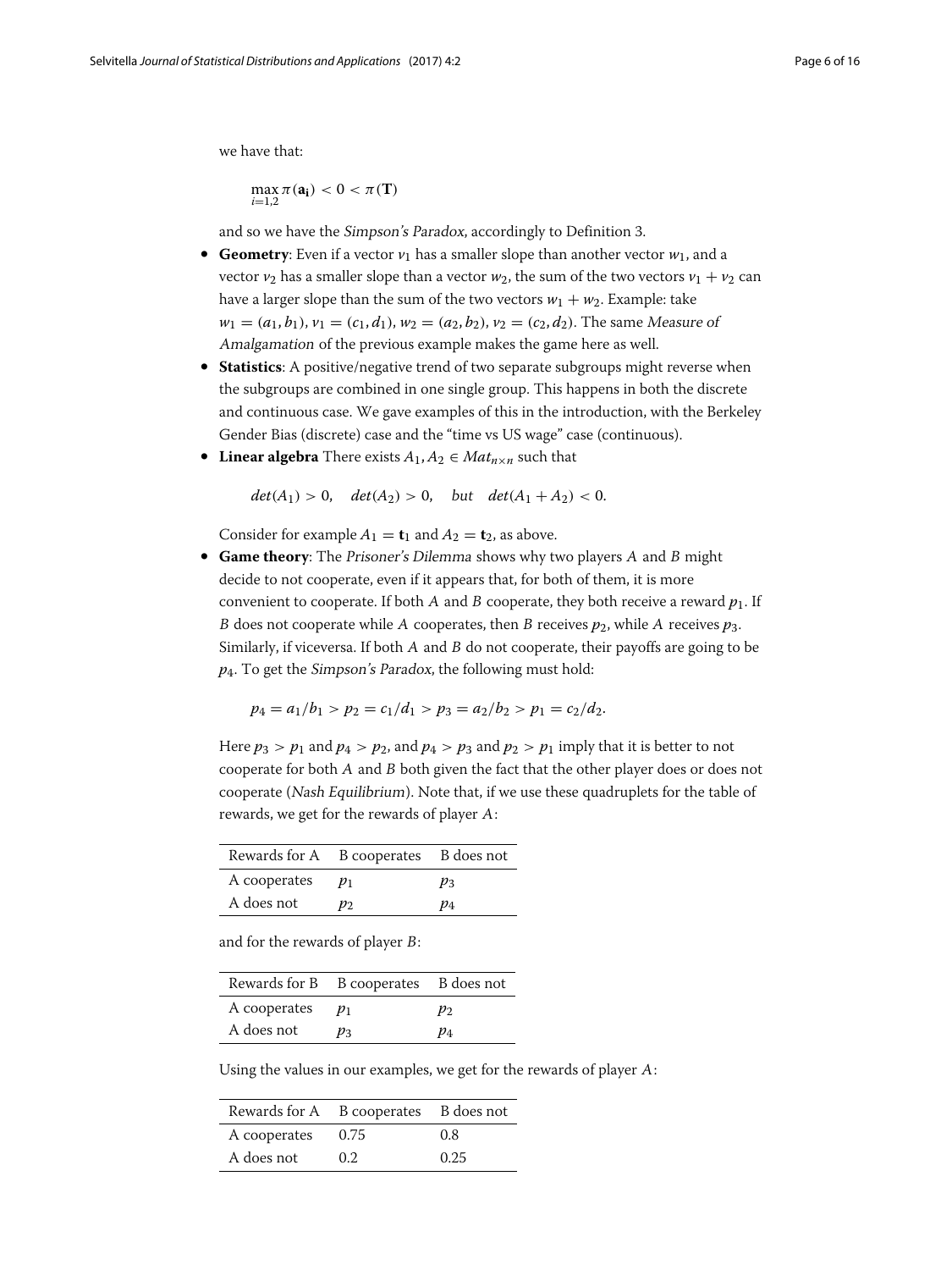we have that:

$$
\max_{i=1,2}\pi(\mathbf{a_i})<0<\pi(\mathbf{T})
$$

and so we have the Simpson's Paradox, accordingly to Definition [3.](#page-3-1)

- **Geometry**: Even if a vector  $v_1$  has a smaller slope than another vector  $w_1$ , and a vector  $v_2$  has a smaller slope than a vector  $w_2$ , the sum of the two vectors  $v_1 + v_2$  can have a larger slope than the sum of the two vectors  $w_1 + w_2$ . Example: take  $w_1 = (a_1, b_1), v_1 = (c_1, d_1), w_2 = (a_2, b_2), v_2 = (c_2, d_2).$  The same Measure of Amalgamation of the previous example makes the game here as well.
- **Statistics**: A positive/negative trend of two separate subgroups might reverse when the subgroups are combined in one single group. This happens in both the discrete and continuous case. We gave examples of this in the introduction, with the Berkeley Gender Bias (discrete) case and the "time vs US wage" case (continuous).
- Linear algebra There exists  $A_1, A_2 \in Mat_{n \times n}$  such that

$$
det(A_1) > 0
$$
,  $det(A_2) > 0$ , but  $det(A_1 + A_2) < 0$ .

Consider for example  $A_1 = \mathbf{t}_1$  and  $A_2 = \mathbf{t}_2$ , as above.

• **Game theory**: The Prisoner's Dilemma shows why two players <sup>A</sup> and <sup>B</sup> might decide to not cooperate, even if it appears that, for both of them, it is more convenient to cooperate. If both A and B cooperate, they both receive a reward  $p_1$ . If B does not cooperate while A cooperates, then B receives  $p_2$ , while A receives  $p_3$ . Similarly, if viceversa. If both <sup>A</sup> and <sup>B</sup> do not cooperate, their payoffs are going to be *p*4. To get the Simpson's Paradox, the following must hold:

$$
p_4 = a_1/b_1 > p_2 = c_1/d_1 > p_3 = a_2/b_2 > p_1 = c_2/d_2.
$$

Here  $p_3 > p_1$  and  $p_4 > p_2$ , and  $p_4 > p_3$  and  $p_2 > p_1$  imply that it is better to not cooperate for both <sup>A</sup> and <sup>B</sup> both given the fact that the other player does or does not cooperate (Nash Equilibrium). Note that, if we use these quadruplets for the table of rewards, we get for the rewards of player <sup>A</sup>:

| Rewards for A B cooperates B does not |       |       |
|---------------------------------------|-------|-------|
| A cooperates                          | $p_1$ | $p_3$ |
| A does not                            | $p_2$ | p4    |

and for the rewards of player <sup>B</sup>:

| Rewards for B B cooperates B does not |       |       |
|---------------------------------------|-------|-------|
| A cooperates                          | $p_1$ | $p_2$ |
| A does not                            | $p_3$ | $p_4$ |

Using the values in our examples, we get for the rewards of player <sup>A</sup>:

| Rewards for A B cooperates B does not |      |      |
|---------------------------------------|------|------|
| A cooperates                          | 0.75 | 0.8  |
| A does not                            | 0.2  | 0.25 |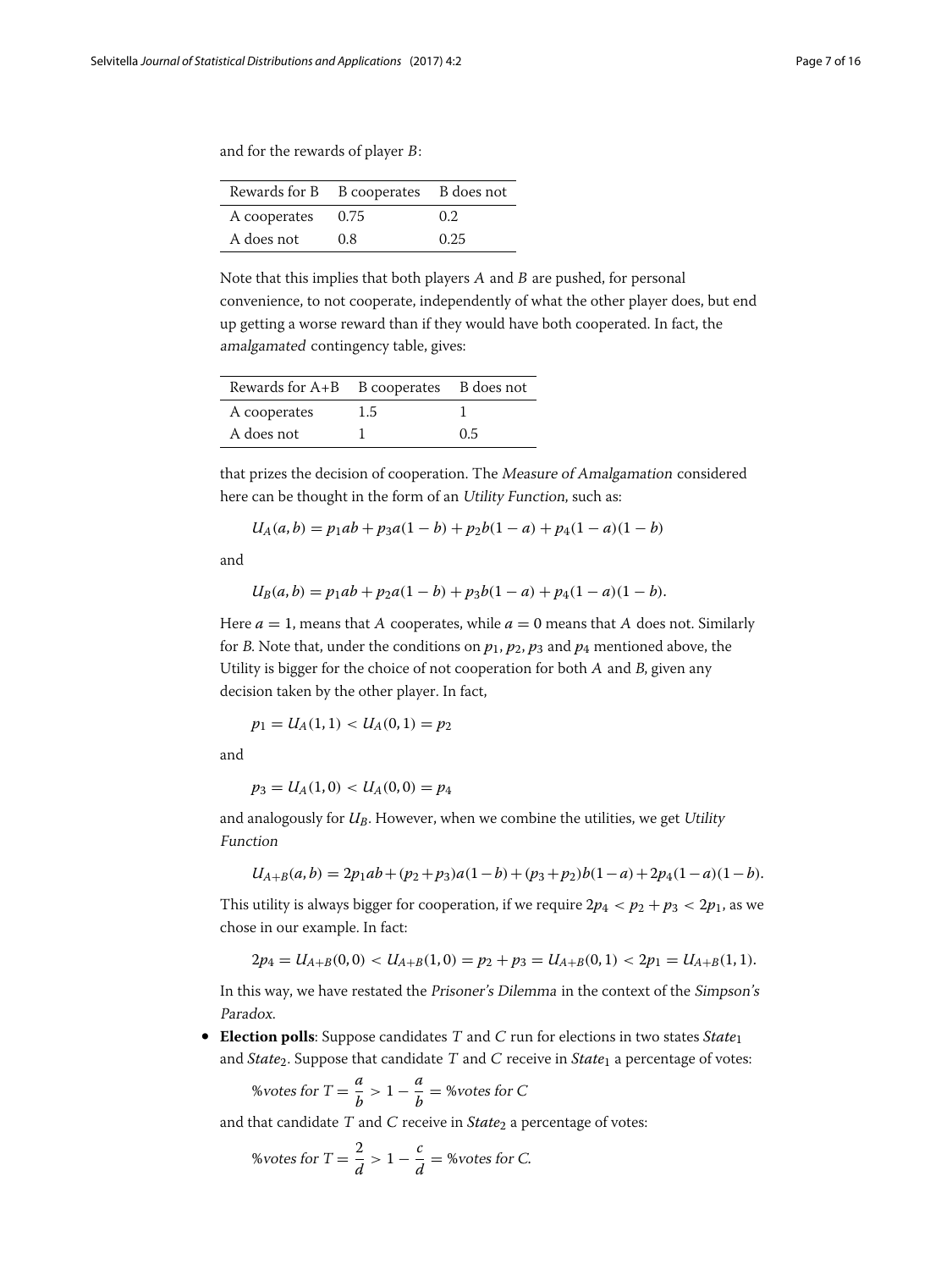and for the rewards of player <sup>B</sup>:

|              | Rewards for B B cooperates B does not |                  |
|--------------|---------------------------------------|------------------|
| A cooperates | 0.75                                  | 0.2 <sub>z</sub> |
| A does not   | 0.8                                   | 0.25             |

Note that this implies that both players <sup>A</sup> and <sup>B</sup> are pushed, for personal convenience, to not cooperate, independently of what the other player does, but end up getting a worse reward than if they would have both cooperated. In fact, the amalgamated contingency table, gives:

| Rewards for A+B B cooperates B does not |     |     |
|-----------------------------------------|-----|-----|
| A cooperates                            | 1.5 |     |
| A does not                              |     | 0.5 |

that prizes the decision of cooperation. The Measure of Amalgamation considered here can be thought in the form of an Utility Function, such as:

$$
U_A(a,b) = p_1ab + p_3a(1-b) + p_2b(1-a) + p_4(1-a)(1-b)
$$

and

$$
U_B(a,b) = p_1ab + p_2a(1-b) + p_3b(1-a) + p_4(1-a)(1-b).
$$

Here  $a = 1$ , means that A cooperates, while  $a = 0$  means that A does not. Similarly for B. Note that, under the conditions on  $p_1$ ,  $p_2$ ,  $p_3$  and  $p_4$  mentioned above, the Utility is bigger for the choice of not cooperation for both <sup>A</sup> and <sup>B</sup>, given any decision taken by the other player. In fact,

$$
p_1 = U_A(1,1) < U_A(0,1) = p_2
$$

and

$$
p_3 = U_A(1,0) < U_A(0,0) = p_4
$$

and analogously for *U<sub>B</sub>*. However, when we combine the utilities, we get *Utility* Function

$$
U_{A+B}(a,b) = 2p_1ab + (p_2+p_3)a(1-b) + (p_3+p_2)b(1-a) + 2p_4(1-a)(1-b).
$$

This utility is always bigger for cooperation, if we require  $2p_4 < p_2 + p_3 < 2p_1$ , as we chose in our example. In fact:

$$
2p_4 = U_{A+B}(0,0) < U_{A+B}(1,0) = p_2 + p_3 = U_{A+B}(0,1) < 2p_1 = U_{A+B}(1,1).
$$

In this way, we have restated the Prisoner's Dilemma in the context of the Simpson's Paradox.

• **Election polls**: Suppose candidates <sup>T</sup> and <sup>C</sup> run for elections in two states *State*<sup>1</sup> and *State*2. Suppose that candidate <sup>T</sup> and <sup>C</sup> receive in *State*<sup>1</sup> a percentage of votes:

$$
\% \text{votes for } T = \frac{a}{b} > 1 - \frac{a}{b} = \% \text{votes for } C
$$

and that candidate T and C receive in *State*<sub>2</sub> a percentage of votes:

$$
\text{%votes for } T = \frac{2}{d} > 1 - \frac{c}{d} = \text{%votes for } C.
$$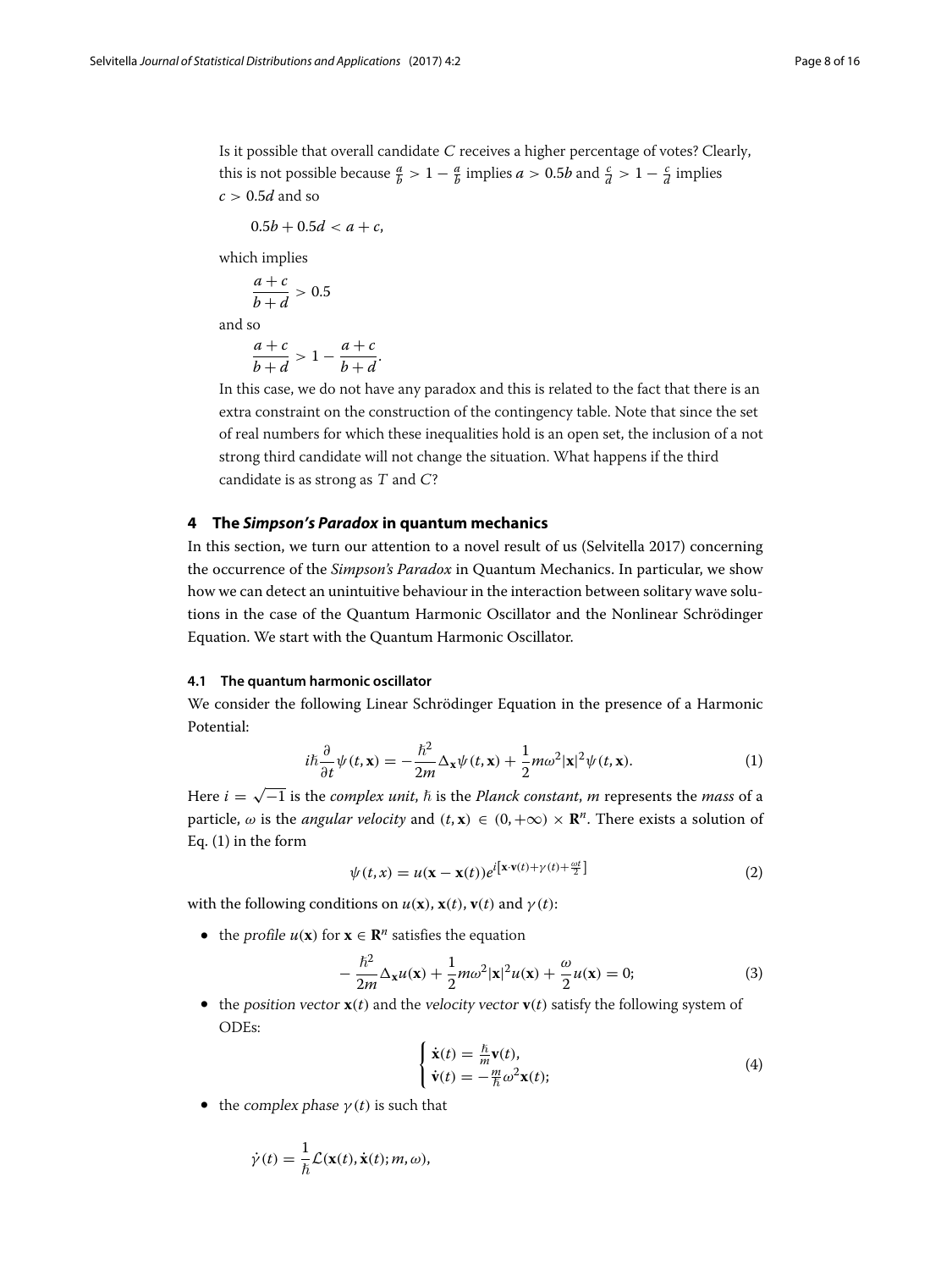Is it possible that overall candidate <sup>C</sup> receives a higher percentage of votes? Clearly, this is not possible because  $\frac{a}{b} > 1 - \frac{a}{b}$  implies  $a > 0.5b$  and  $\frac{c}{d} > 1 - \frac{c}{d}$  implies *c* > 0.5*d* and so

$$
0.5b+0.5d
$$

which implies

$$
\frac{a+c}{b+d} > 0.5
$$

and so

$$
\frac{a+c}{b+d} > 1 - \frac{a+c}{b+d}.
$$

In this case, we do not have any paradox and this is related to the fact that there is an extra constraint on the construction of the contingency table. Note that since the set of real numbers for which these inequalities hold is an open set, the inclusion of a not strong third candidate will not change the situation. What happens if the third candidate is as strong as <sup>T</sup> and <sup>C</sup>?

#### <span id="page-7-0"></span>**4 The** *Simpson's Paradox* **in quantum mechanics**

In this section, we turn our attention to a novel result of us (Selvitella [2017\)](#page-15-11) concerning the occurrence of the *Simpson's Paradox* in Quantum Mechanics. In particular, we show how we can detect an unintuitive behaviour in the interaction between solitary wave solutions in the case of the Quantum Harmonic Oscillator and the Nonlinear Schrödinger Equation. We start with the Quantum Harmonic Oscillator.

#### <span id="page-7-3"></span>**4.1 The quantum harmonic oscillator**

We consider the following Linear Schrödinger Equation in the presence of a Harmonic Potential:

<span id="page-7-1"></span>
$$
i\hbar \frac{\partial}{\partial t}\psi(t, \mathbf{x}) = -\frac{\hbar^2}{2m}\Delta_{\mathbf{x}}\psi(t, \mathbf{x}) + \frac{1}{2}m\omega^2|\mathbf{x}|^2\psi(t, \mathbf{x}).
$$
 (1)

Here  $i = \sqrt{-1}$  is the *complex unit*,  $\hbar$  is the *Planck constant*,  $m$  represents the *mass* of a particle,  $\omega$  is the *angular velocity* and  $(t, \mathbf{x}) \in (0, +\infty) \times \mathbb{R}^n$ . There exists a solution of Eq. [\(1\)](#page-7-1) in the form

$$
\psi(t,x) = u(\mathbf{x} - \mathbf{x}(t))e^{i\left[\mathbf{x}\cdot\mathbf{v}(t) + \gamma(t) + \frac{\omega t}{2}\right]}
$$
\n(2)

with the following conditions on  $u(\mathbf{x})$ ,  $\mathbf{x}(t)$ ,  $\mathbf{v}(t)$  and  $\gamma(t)$ :

• the profile  $u(\mathbf{x})$  for  $\mathbf{x} \in \mathbb{R}^n$  satisfies the equation

$$
-\frac{\hbar^2}{2m}\Delta_{\mathbf{x}}u(\mathbf{x}) + \frac{1}{2}m\omega^2|\mathbf{x}|^2u(\mathbf{x}) + \frac{\omega}{2}u(\mathbf{x}) = 0;\tag{3}
$$

• the position vector  $\mathbf{x}(t)$  and the velocity vector  $\mathbf{v}(t)$  satisfy the following system of ODEs:

<span id="page-7-2"></span>
$$
\begin{cases} \dot{\mathbf{x}}(t) = \frac{\hbar}{m} \mathbf{v}(t), \\ \dot{\mathbf{v}}(t) = -\frac{m}{\hbar} \omega^2 \mathbf{x}(t); \end{cases}
$$
 (4)

• the complex phase  $\gamma(t)$  is such that

$$
\dot{\gamma}(t) = \frac{1}{\hbar} \mathcal{L}(\mathbf{x}(t), \dot{\mathbf{x}}(t); m, \omega),
$$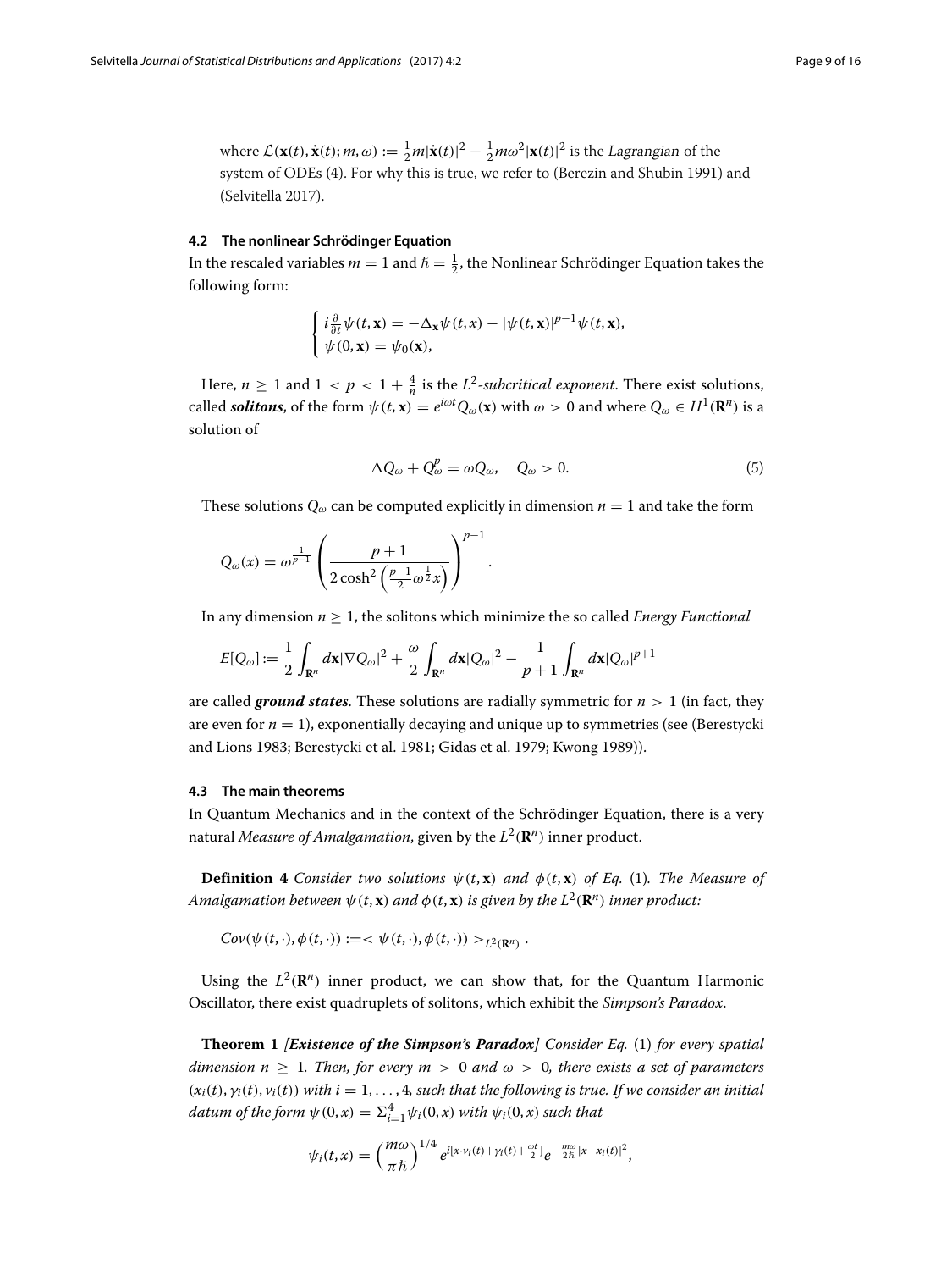where  $\mathcal{L}(\mathbf{x}(t), \dot{\mathbf{x}}(t); m, \omega) := \frac{1}{2}m|\dot{\mathbf{x}}(t)|^2 - \frac{1}{2}m\omega^2|\mathbf{x}(t)|^2$  is the Lagrangian of the system of ODEs [\(4\)](#page-7-2). For why this is true, we refer to (Berezin and Shubin [1991\)](#page-15-13) and (Selvitella [2017\)](#page-15-11).

#### **4.2 The nonlinear Schrödinger Equation**

In the rescaled variables  $m = 1$  and  $\hbar = \frac{1}{2}$ , the Nonlinear Schrödinger Equation takes the following form:

$$
\begin{cases} i\frac{\partial}{\partial t}\psi(t,\mathbf{x}) = -\Delta_{\mathbf{x}}\psi(t,x) - |\psi(t,\mathbf{x})|^{p-1}\psi(t,\mathbf{x}),\\ \psi(0,\mathbf{x}) = \psi_0(\mathbf{x}), \end{cases}
$$

Here,  $n \geq 1$  and  $1 < p < 1 + \frac{4}{n}$  is the  $L^2$ -subcritical exponent. There exist solutions, called *solitons*, of the form  $\psi(t, \mathbf{x}) = e^{i\omega t} Q_{\omega}(\mathbf{x})$  with  $\omega > 0$  and where  $Q_{\omega} \in H^1(\mathbf{R}^n)$  is a solution of

$$
\Delta Q_{\omega} + Q_{\omega}^p = \omega Q_{\omega}, \quad Q_{\omega} > 0. \tag{5}
$$

These solutions  $Q_{\omega}$  can be computed explicitly in dimension  $n = 1$  and take the form

$$
Q_{\omega}(x) = \omega^{\frac{1}{p-1}} \left( \frac{p+1}{2 \cosh^2 \left( \frac{p-1}{2} \omega^{\frac{1}{2}} x \right)} \right)^{p-1}.
$$

In any dimension *n* ≥ 1, the solitons which minimize the so called *Energy Functional*

$$
E[Q_{\omega}] := \frac{1}{2} \int_{\mathbf{R}^n} d\mathbf{x} |\nabla Q_{\omega}|^2 + \frac{\omega}{2} \int_{\mathbf{R}^n} d\mathbf{x} |Q_{\omega}|^2 - \frac{1}{p+1} \int_{\mathbf{R}^n} d\mathbf{x} |Q_{\omega}|^{p+1}
$$

are called **ground states**. These solutions are radially symmetric for  $n > 1$  (in fact, they are even for  $n = 1$ ), exponentially decaying and unique up to symmetries (see (Berestycki and Lions [1983;](#page-15-14) Berestycki et al. [1981;](#page-15-15) Gidas et al. [1979;](#page-15-16) Kwong [1989\)](#page-15-17)).

#### **4.3 The main theorems**

In Quantum Mechanics and in the context of the Schrödinger Equation, there is a very natural *Measure of Amalgamation*, given by the  $L^2(\mathbf{R}^n)$  inner product.

**Definition 4** *Consider two solutions*  $\psi(t, \mathbf{x})$  *and*  $\phi(t, \mathbf{x})$  *of Eq.* [\(1\)](#page-7-1)*. The Measure of Amalgamation between*  $\psi(t, \mathbf{x})$  *and*  $\phi(t, \mathbf{x})$  *is given by the*  $L^2(\mathbf{R}^n)$  *inner product:* 

 $Cov(\psi(t, \cdot), \phi(t, \cdot)) := \langle \psi(t, \cdot), \phi(t, \cdot) \rangle >_{L^2(\mathbf{R}^n)}$ .

Using the  $L^2(\mathbf{R}^n)$  inner product, we can show that, for the Quantum Harmonic Oscillator, there exist quadruplets of solitons, which exhibit the *Simpson's Paradox*.

**Theorem 1** *[Existence of the Simpson's Paradox] Consider Eq.* [\(1\)](#page-7-1) *for every spatial dimension n*  $\geq$  1*. Then, for every m*  $>$  0 *and*  $\omega$   $>$  0*, there exists a set of parameters*  $(x_i(t), y_i(t), v_i(t))$  with  $i = 1, \ldots, 4$ , such that the following is true. If we consider an initial  $d$ *atum of the form*  $\psi(0, x) = \sum_{i=1}^{4} \psi_i(0, x)$  *with*  $\psi_i(0, x)$  *such that* 

$$
\psi_i(t,x)=\left(\frac{m\omega}{\pi\hbar}\right)^{1/4}e^{i\left[x\cdot v_i(t)+\gamma_i(t)+\frac{\omega t}{2}\right]}e^{-\frac{m\omega}{2\hbar}|x-x_i(t)|^2},
$$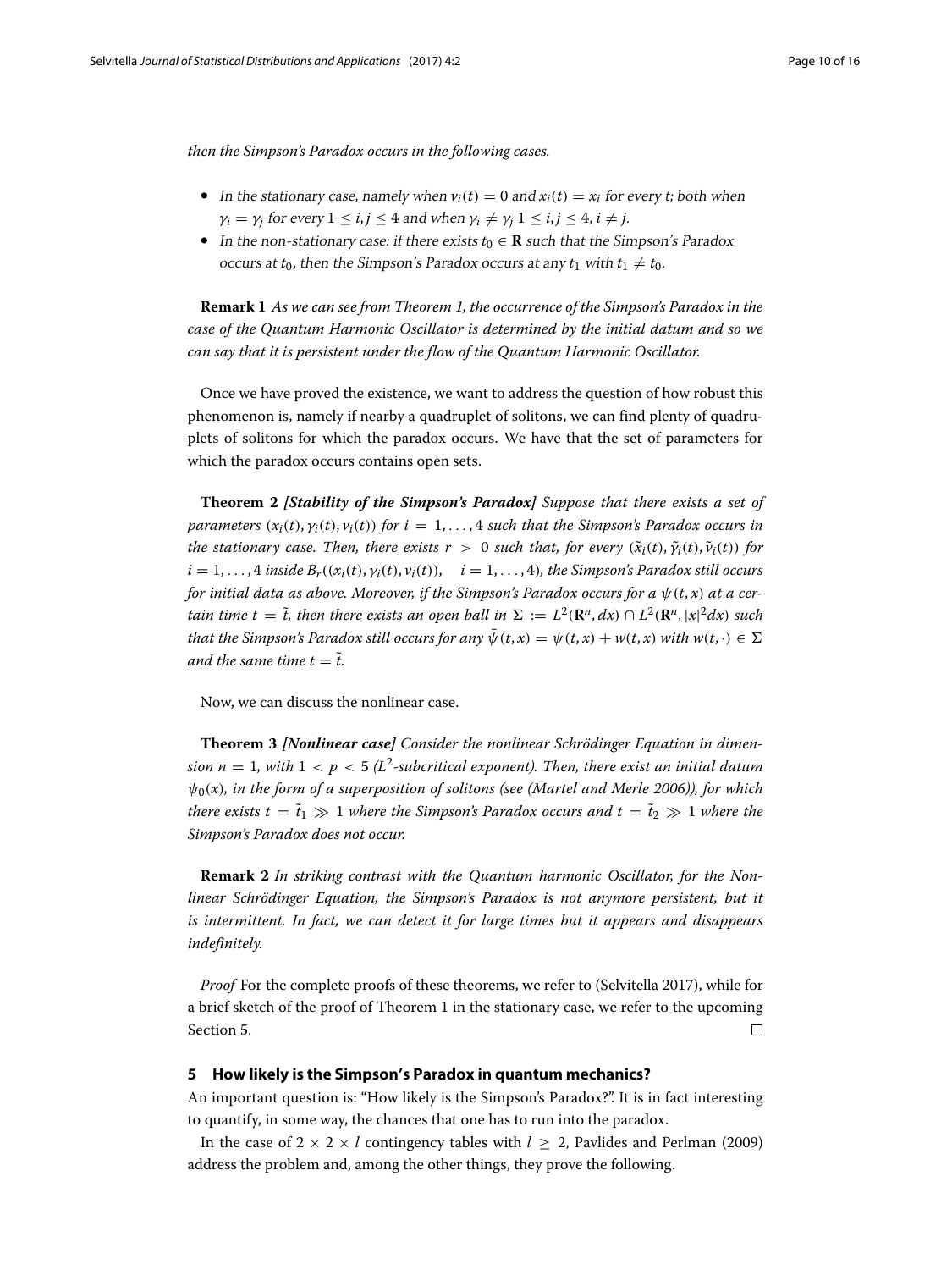*then the Simpson's Paradox occurs in the following cases.*

- In the stationary case, namely when  $v_i(t) = 0$  and  $x_i(t) = x_i$  for every t; both when  $\gamma_i = \gamma_j$  for every  $1 \le i, j \le 4$  and when  $\gamma_i \ne \gamma_j$   $1 \le i, j \le 4$ ,  $i \ne j$ .
- In the non-stationary case: if there exists  $t_0 \in \mathbf{R}$  such that the Simpson's Paradox occurs at  $t_0$ , then the Simpson's Paradox occurs at any  $t_1$  with  $t_1 \neq t_0$ .

**Remark 1** *As we can see from Theorem 1, the occurrence of the Simpson's Paradox in the case of the Quantum Harmonic Oscillator is determined by the initial datum and so we can say that it is persistent under the flow of the Quantum Harmonic Oscillator.*

Once we have proved the existence, we want to address the question of how robust this phenomenon is, namely if nearby a quadruplet of solitons, we can find plenty of quadruplets of solitons for which the paradox occurs. We have that the set of parameters for which the paradox occurs contains open sets.

**Theorem 2** *[Stability of the Simpson's Paradox] Suppose that there exists a set of parameters*  $(x_i(t), y_i(t), y_i(t))$  *for*  $i = 1, \ldots, 4$  *such that the Simpson's Paradox occurs in the stationary case. Then, there exists*  $r > 0$  *<i>such that, for every*  $(\tilde{x}_i(t), \tilde{y}_i(t), \tilde{v}_i(t))$  *for*  $i = 1, \ldots, 4$  *inside*  $B_r((x_i(t), y_i(t), y_i(t)), \quad i = 1, \ldots, 4)$ *, the Simpson's Paradox still occurs for initial data as above. Moreover, if the Simpson's Paradox occurs for a*  $\psi$ (*t, x*) *at a certain time t* =  $\tilde{t}$ , *then there exists an open ball in*  $\Sigma := L^2(\mathbf{R}^n, dx) \cap L^2(\mathbf{R}^n, |x|^2 dx)$  *such that the Simpson's Paradox still occurs for any*  $\bar{\psi}(t, x) = \psi(t, x) + w(t, x)$  with  $w(t, \cdot) \in \Sigma$ *and the same time*  $t = \tilde{t}$ *.* 

Now, we can discuss the nonlinear case.

**Theorem 3** *[Nonlinear case] Consider the nonlinear Schrödinger Equation in dimension n* = 1*, with* 1 < *p* < 5  $(L^2$ -subcritical exponent). Then, there exist an initial datum  $\psi_0(x)$ *, in the form of a superposition of solitons (see (Martel and Merle* [2006\)](#page-15-18))*, for which there exists t* =  $\tilde{t}_1 \gg 1$  where the Simpson's Paradox occurs and t =  $\tilde{t}_2 \gg 1$  where the *Simpson's Paradox does not occur.*

**Remark 2** *In striking contrast with the Quantum harmonic Oscillator, for the Nonlinear Schrödinger Equation, the Simpson's Paradox is not anymore persistent, but it is intermittent. In fact, we can detect it for large times but it appears and disappears indefinitely.*

*Proof* For the complete proofs of these theorems, we refer to (Selvitella [2017\)](#page-15-11), while for a brief sketch of the proof of Theorem 1 in the stationary case, we refer to the upcoming Section [5.](#page-9-0)  $\Box$ 

#### <span id="page-9-0"></span>**5 How likely is the Simpson's Paradox in quantum mechanics?**

An important question is: "How likely is the Simpson's Paradox?". It is in fact interesting to quantify, in some way, the chances that one has to run into the paradox.

In the case of  $2 \times 2 \times l$  contingency tables with  $l \geq 2$ , Pavlides and Perlman [\(2009\)](#page-15-19) address the problem and, among the other things, they prove the following.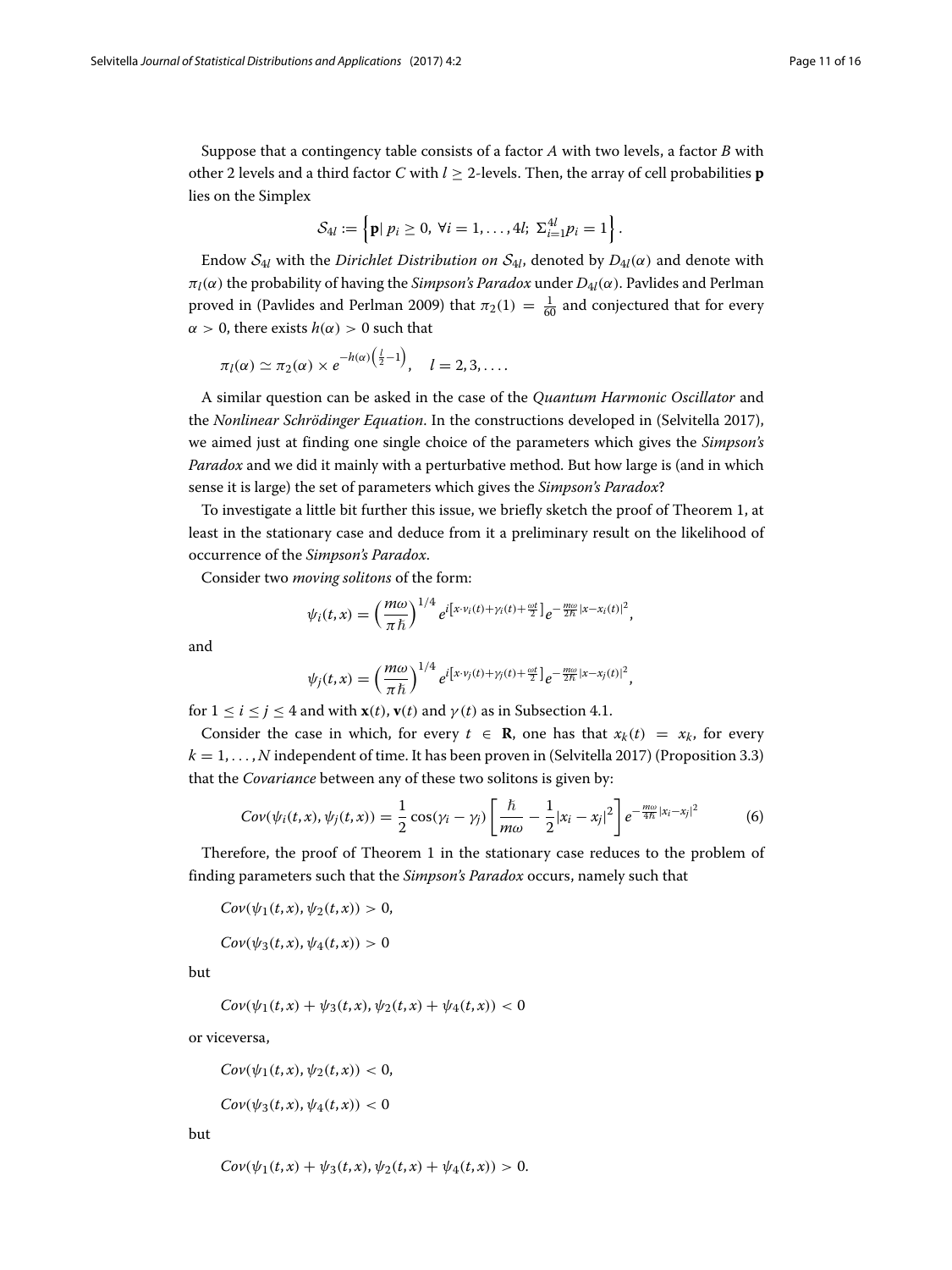Suppose that a contingency table consists of a factor *A* with two levels, a factor *B* with other 2 levels and a third factor *C* with  $l \geq 2$ -levels. Then, the array of cell probabilities **p** lies on the Simplex

$$
\mathcal{S}_{4l} := \left\{ \mathbf{p} | p_i \geq 0, \ \forall i = 1, \ldots, 4l; \ \Sigma_{i=1}^{4l} p_i = 1 \right\}.
$$

Endow  $S_{4l}$  with the *Dirichlet Distribution on*  $S_{4l}$ , denoted by  $D_{4l}(\alpha)$  and denote with  $\pi_l(\alpha)$  the probability of having the *Simpson's Paradox* under  $D_{4l}(\alpha)$ . Pavlides and Perlman proved in (Pavlides and Perlman [2009\)](#page-15-19) that  $\pi_2(1) = \frac{1}{60}$  and conjectured that for every  $\alpha > 0$ , there exists  $h(\alpha) > 0$  such that

$$
\pi_l(\alpha) \simeq \pi_2(\alpha) \times e^{-h(\alpha)\left(\frac{l}{2}-1\right)}, \quad l=2,3,\ldots.
$$

A similar question can be asked in the case of the *Quantum Harmonic Oscillator* and the *Nonlinear Schrödinger Equation*. In the constructions developed in (Selvitella [2017\)](#page-15-11), we aimed just at finding one single choice of the parameters which gives the *Simpson's Paradox* and we did it mainly with a perturbative method. But how large is (and in which sense it is large) the set of parameters which gives the *Simpson's Paradox*?

To investigate a little bit further this issue, we briefly sketch the proof of Theorem 1, at least in the stationary case and deduce from it a preliminary result on the likelihood of occurrence of the *Simpson's Paradox*.

Consider two *moving solitons* of the form:

$$
\psi_i(t,x)=\left(\frac{m\omega}{\pi\hbar}\right)^{1/4}e^{i\left[x\cdot v_i(t)+\gamma_i(t)+\frac{\omega t}{2}\right]}e^{-\frac{m\omega}{2\hbar}|x-x_i(t)|^2},
$$

and

$$
\psi_j(t,x)=\left(\frac{m\omega}{\pi\hbar}\right)^{1/4}e^{i\left[x\cdot v_j(t)+\gamma_j(t)+\frac{\omega t}{2}\right]}e^{-\frac{m\omega}{2\hbar}|x-x_j(t)|^2},
$$

for  $1 \le i \le j \le 4$  and with  $\mathbf{x}(t)$ ,  $\mathbf{v}(t)$  and  $\gamma(t)$  as in Subsection [4.1.](#page-7-3)

Consider the case in which, for every  $t \in \mathbf{R}$ , one has that  $x_k(t) = x_k$ , for every  $k = 1, \ldots, N$  independent of time. It has been proven in (Selvitella [2017\)](#page-15-11) (Proposition 3.3) that the *Covariance* between any of these two solitons is given by:

$$
Cov(\psi_i(t,x), \psi_j(t,x)) = \frac{1}{2}\cos(\gamma_i - \gamma_j)\left[\frac{\hbar}{m\omega} - \frac{1}{2}|x_i - x_j|^2\right]e^{-\frac{m\omega}{4\hbar}|x_i - x_j|^2}
$$
(6)

Therefore, the proof of Theorem 1 in the stationary case reduces to the problem of finding parameters such that the *Simpson's Paradox* occurs, namely such that

 $Cov(\psi_1(t, x), \psi_2(t, x)) > 0$ 

 $Cov(\psi_3(t, x), \psi_4(t, x)) > 0$ 

but

$$
Cov(\psi_1(t,x) + \psi_3(t,x), \psi_2(t,x) + \psi_4(t,x)) < 0
$$

or viceversa,

$$
Cov(\psi_1(t,x), \psi_2(t,x)) < 0,
$$

 $Cov(\psi_3(t, x), \psi_4(t, x)) < 0$ 

but

$$
Cov(\psi_1(t,x) + \psi_3(t,x), \psi_2(t,x) + \psi_4(t,x)) > 0.
$$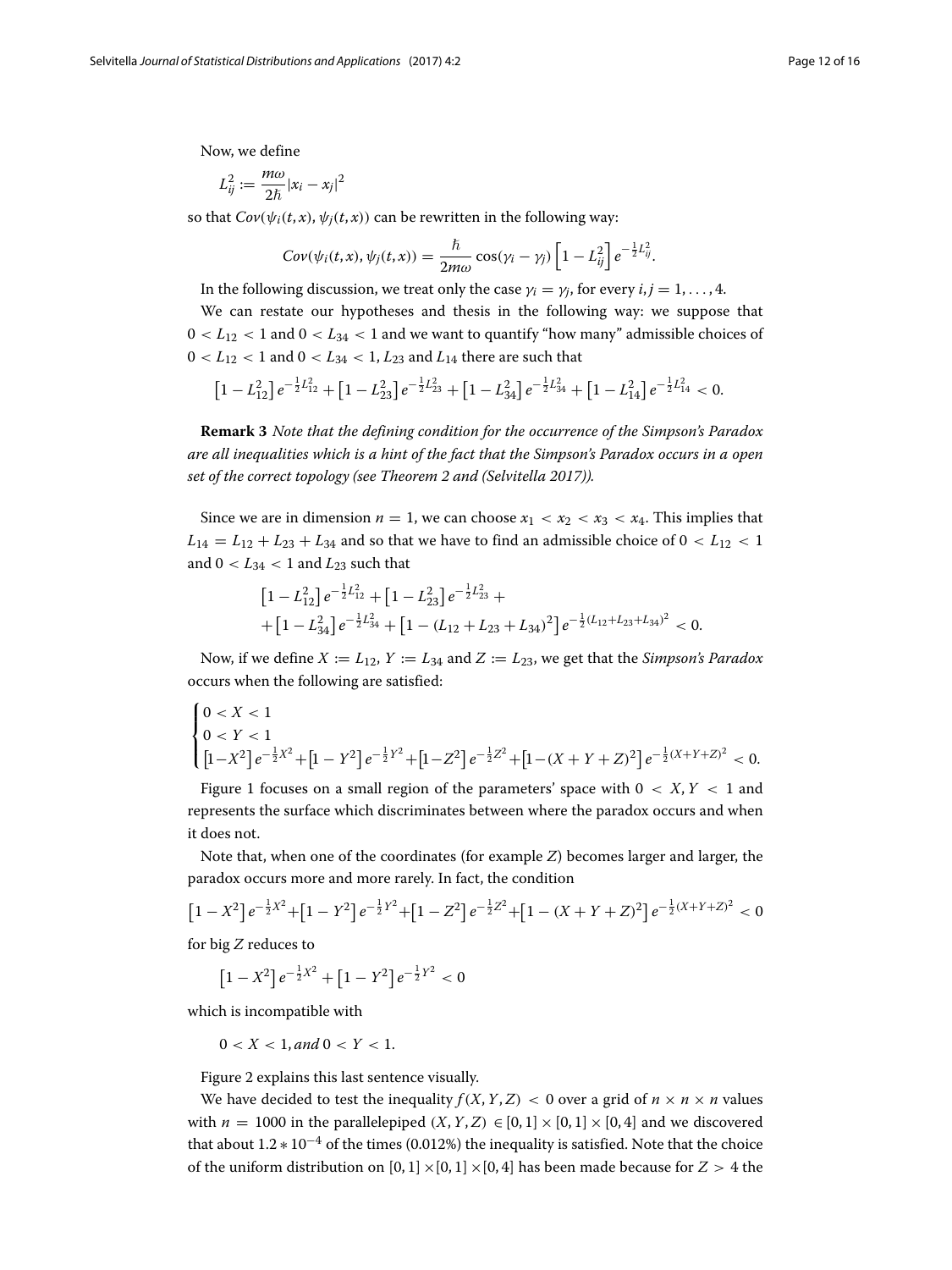Now, we define

$$
L_{ij}^2 := \frac{m\omega}{2\hbar}|x_i - x_j|^2
$$

so that  $Cov(\psi_i(t, x), \psi_i(t, x))$  can be rewritten in the following way:

$$
Cov(\psi_i(t,x), \psi_j(t,x)) = \frac{\hbar}{2m\omega} \cos(\gamma_i - \gamma_j) \left[1 - L_{ij}^2\right] e^{-\frac{1}{2}L_{ij}^2}.
$$

In the following discussion, we treat only the case  $\gamma_i = \gamma_i$ , for every  $i, j = 1, \ldots, 4$ .

We can restate our hypotheses and thesis in the following way: we suppose that  $0 < L_{12} < 1$  and  $0 < L_{34} < 1$  and we want to quantify "how many" admissible choices of  $0 < L_{12} < 1$  and  $0 < L_{34} < 1, L_{23}$  and  $L_{14}$  there are such that

$$
\left[1-L_{12}^2\right]e^{-\frac{1}{2}L_{12}^2} + \left[1-L_{23}^2\right]e^{-\frac{1}{2}L_{23}^2} + \left[1-L_{34}^2\right]e^{-\frac{1}{2}L_{34}^2} + \left[1-L_{14}^2\right]e^{-\frac{1}{2}L_{14}^2} < 0.
$$

**Remark 3** *Note that the defining condition for the occurrence of the Simpson's Paradox are all inequalities which is a hint of the fact that the Simpson's Paradox occurs in a open set of the correct topology (see Theorem 2 and (Selvitella [2017\)](#page-15-11)).*

Since we are in dimension  $n = 1$ , we can choose  $x_1 < x_2 < x_3 < x_4$ . This implies that  $L_{14} = L_{12} + L_{23} + L_{34}$  and so that we have to find an admissible choice of  $0 < L_{12} < 1$ and  $0 < L_{34} < 1$  and  $L_{23}$  such that

$$
\begin{aligned}\n\left[1 - L_{12}^2\right] e^{-\frac{1}{2}L_{12}^2} + \left[1 - L_{23}^2\right] e^{-\frac{1}{2}L_{23}^2} + \\
+ \left[1 - L_{34}^2\right] e^{-\frac{1}{2}L_{34}^2} + \left[1 - (L_{12} + L_{23} + L_{34})^2\right] e^{-\frac{1}{2}(L_{12} + L_{23} + L_{34})^2} < 0.\n\end{aligned}
$$

Now, if we define  $X := L_{12}$ ,  $Y := L_{34}$  and  $Z := L_{23}$ , we get that the *Simpson's Paradox* occurs when the following are satisfied:

$$
\begin{cases} 0 < X < 1\\ 0 < Y < 1\\ \left[1 - X^2\right] e^{-\frac{1}{2}X^2} + \left[1 - Y^2\right] e^{-\frac{1}{2}Y^2} + \left[1 - Z^2\right] e^{-\frac{1}{2}Z^2} + \left[1 - (X + Y + Z)^2\right] e^{-\frac{1}{2}(X + Y + Z)^2} < 0. \end{cases}
$$

Figure [1](#page-12-0) focuses on a small region of the parameters' space with  $0 < X, Y < 1$  and represents the surface which discriminates between where the paradox occurs and when it does not.

Note that, when one of the coordinates (for example *Z*) becomes larger and larger, the paradox occurs more and more rarely. In fact, the condition

$$
\left[1 - X^2\right] e^{-\frac{1}{2}X^2} + \left[1 - Y^2\right] e^{-\frac{1}{2}Y^2} + \left[1 - Z^2\right] e^{-\frac{1}{2}Z^2} + \left[1 - (X + Y + Z)^2\right] e^{-\frac{1}{2}(X + Y + Z)^2} < 0
$$

for big *Z* reduces to

 $\left[1 - X^2\right] e^{-\frac{1}{2}X^2} + \left[1 - Y^2\right] e^{-\frac{1}{2}Y^2} < 0$ 

which is incompatible with

$$
0 < X < 1, and \, 0 < Y < 1.
$$

Figure [2](#page-13-1) explains this last sentence visually.

We have decided to test the inequality  $f(X, Y, Z) < 0$  over a grid of  $n \times n \times n$  values with  $n = 1000$  in the parallelepiped  $(X, Y, Z) \in [0, 1] \times [0, 1] \times [0, 4]$  and we discovered that about  $1.2 * 10^{-4}$  of the times (0.012%) the inequality is satisfied. Note that the choice of the uniform distribution on  $[0, 1] \times [0, 1] \times [0, 4]$  has been made because for  $Z > 4$  the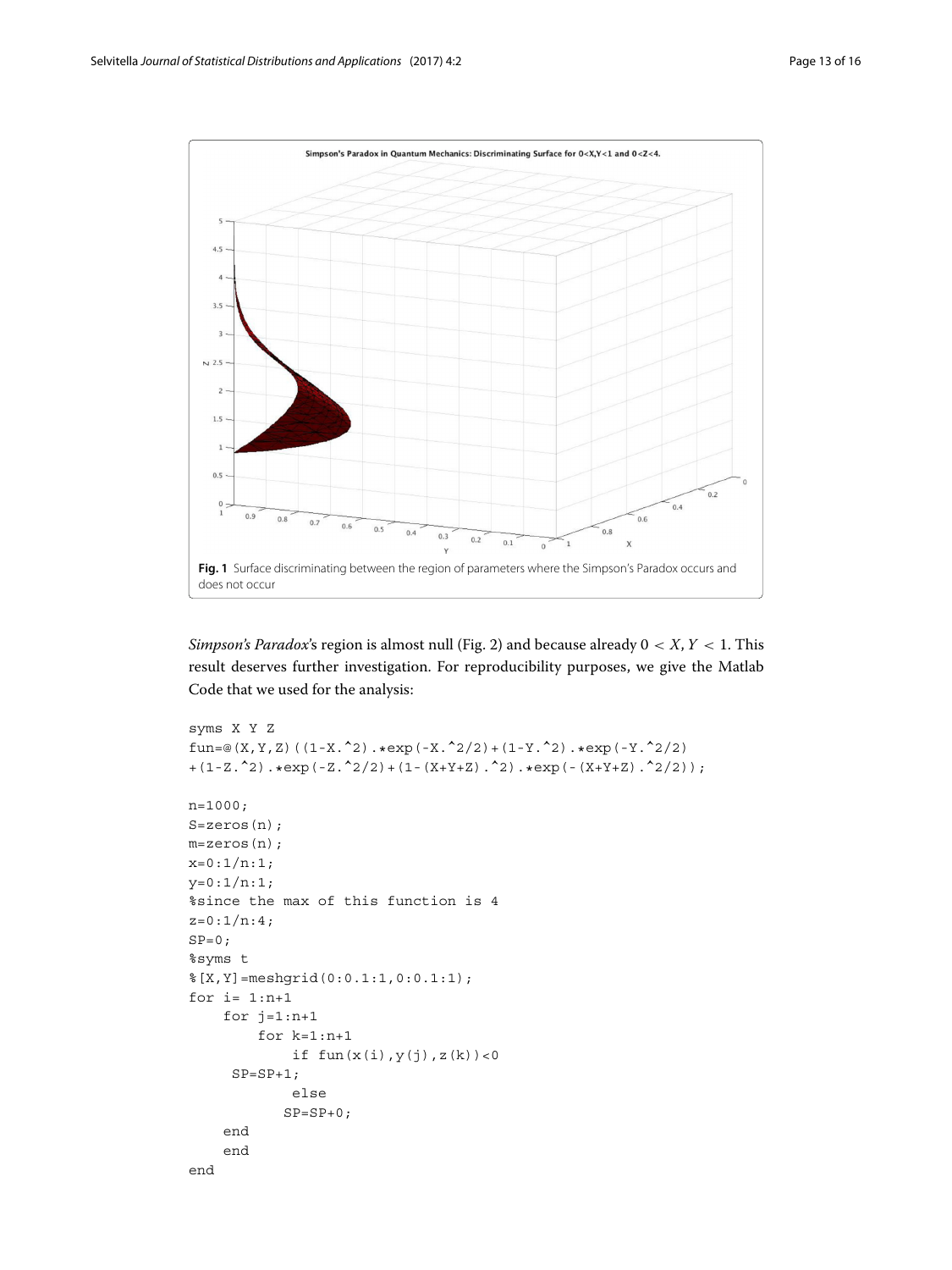

<span id="page-12-0"></span>*Simpson's Paradox*'s region is almost null (Fig. [2\)](#page-13-1) and because already 0 < *X*, *Y* < 1. This result deserves further investigation. For reproducibility purposes, we give the Matlab Code that we used for the analysis:

```
syms X Y Z
fun=@(X,Y,Z)((1-X.^2).*exp(-X.^2/2)+(1-Y.^2).*exp(-Y.^2/2)
+(1-Z.^2).*exp(-Z.^2/2)+(1-(X+Y+Z).^2).*exp(-(X+Y+Z).^2/2));n=1000;
S=zeros(n);
m=zeros(n);
x=0:1/n:1;y=0:1/n:1;
%since the max of this function is 4
z=0:1/n:4;SP=0:
%syms t
%[X,Y]=meshgrid(0:0.1:1,0:0.1:1);
for i=1:n+1for j=1:n+1for k=1:n+1
            if fun(x(i),y(j),z(k))<0SP = SP + 1;else
           SP = SP + 0;end
    end
end
```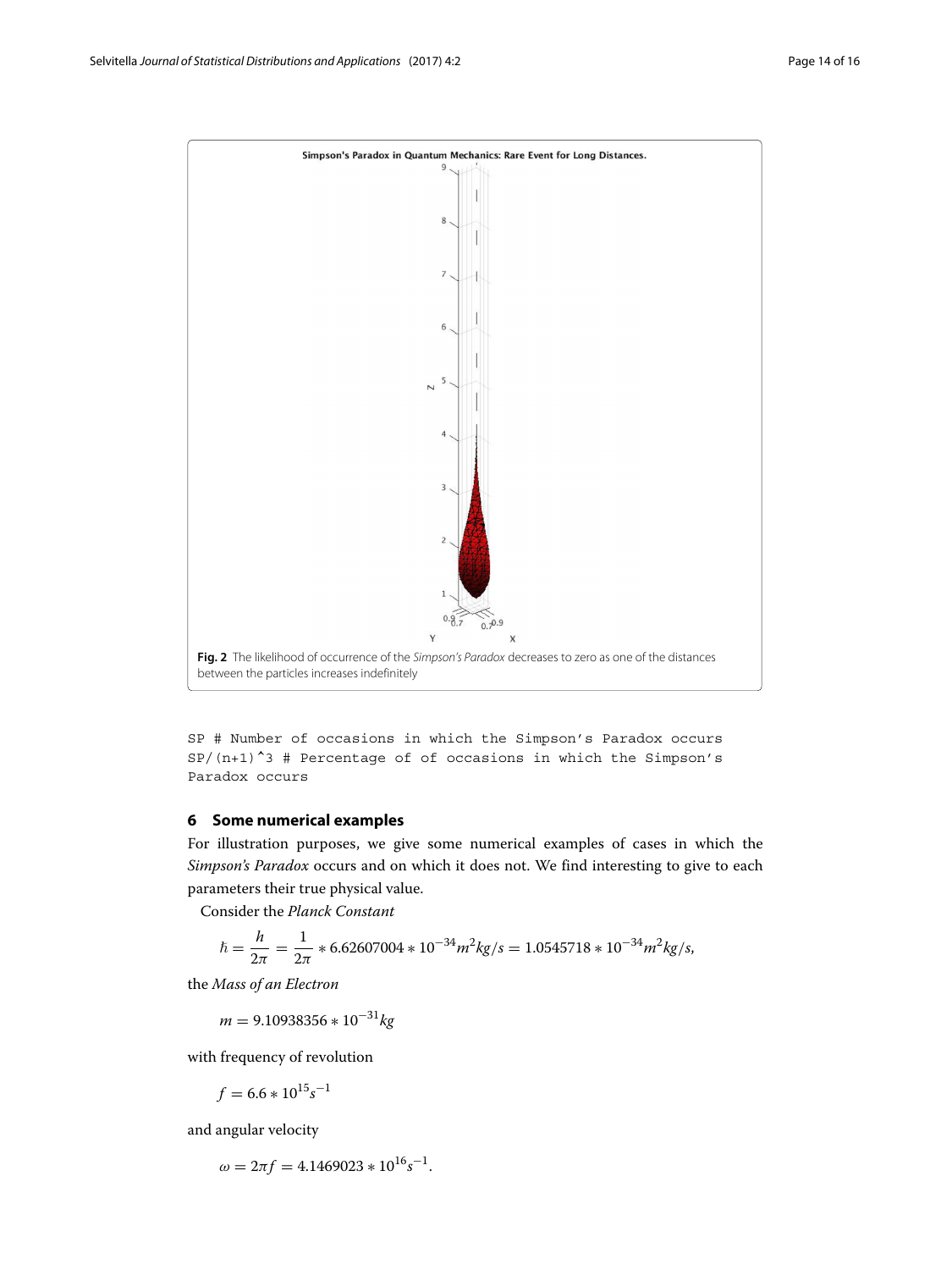

<span id="page-13-1"></span>SP # Number of occasions in which the Simpson's Paradox occurs  $SP/(n+1)^{-3}$  # Percentage of of occasions in which the Simpson's Paradox occurs

## <span id="page-13-0"></span>**6 Some numerical examples**

For illustration purposes, we give some numerical examples of cases in which the *Simpson's Paradox* occurs and on which it does not. We find interesting to give to each parameters their true physical value.

Consider the *Planck Constant*

$$
\hbar = \frac{h}{2\pi} = \frac{1}{2\pi} * 6.62607004 * 10^{-34} m^2 kg/s = 1.0545718 * 10^{-34} m^2 kg/s,
$$

the *Mass of an Electron*

*<sup>m</sup>* <sup>=</sup> 9.10938356 <sup>∗</sup> <sup>10</sup>−31*kg*

with frequency of revolution

$$
f = 6.6 * 10^{15} s^{-1}
$$

and angular velocity

$$
\omega = 2\pi f = 4.1469023 * 10^{16} s^{-1}.
$$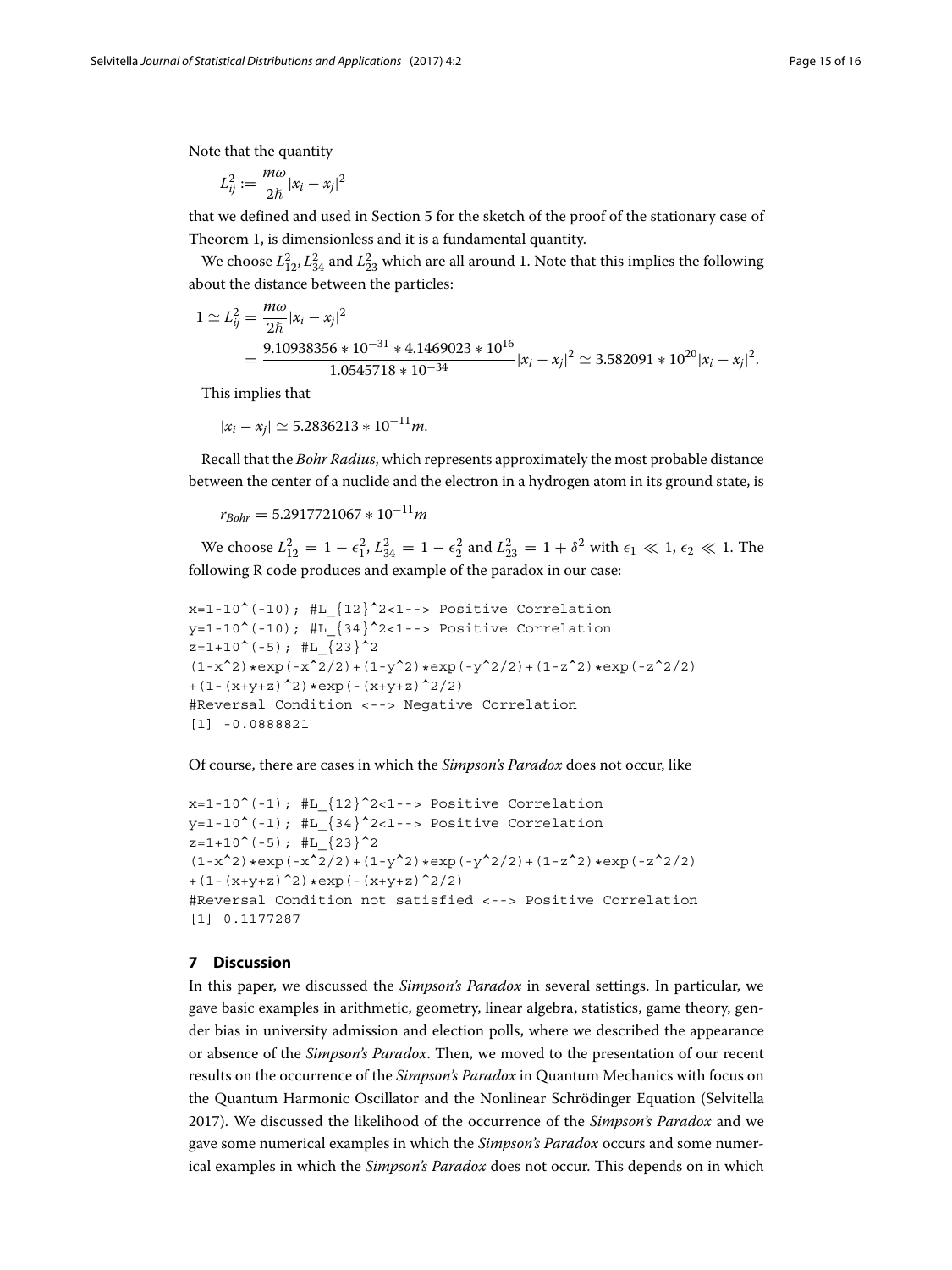Note that the quantity

$$
L_{ij}^2 := \frac{m\omega}{2\hbar}|x_i - x_j|^2
$$

that we defined and used in Section [5](#page-9-0) for the sketch of the proof of the stationary case of Theorem 1, is dimensionless and it is a fundamental quantity.

We choose  $L_{12}^2$ ,  $L_{34}^2$  and  $L_{23}^2$  which are all around 1. Note that this implies the following about the distance between the particles:

$$
1 \simeq L_{ij}^2 = \frac{m\omega}{2\hbar}|x_i - x_j|^2
$$
  
= 
$$
\frac{9.10938356 \times 10^{-31} \times 4.1469023 \times 10^{16}}{1.0545718 \times 10^{-34}} |x_i - x_j|^2 \simeq 3.582091 \times 10^{20} |x_i - x_j|^2.
$$

This implies that

 $|x_i - x_i| \simeq 5.2836213 * 10^{-11}$ *m*.

Recall that the *Bohr Radius*, which represents approximately the most probable distance between the center of a nuclide and the electron in a hydrogen atom in its ground state, is

 $r_{Bohr} = 5.2917721067 * 10^{-11} m$ 

We choose  $L_{12}^2 = 1 - \epsilon_1^2$ ,  $L_{34}^2 = 1 - \epsilon_2^2$  and  $L_{23}^2 = 1 + \delta^2$  with  $\epsilon_1 \ll 1$ ,  $\epsilon_2 \ll 1$ . The following R code produces and example of the paradox in our case:

```
x=1-10^{\circ}(-10); #L\{12\}^{\circ}2<1-- Positive Correlation
y=1-10^(-10); #L {34}^22<1--> Positive Correlation
z=1+10^{\text{-}}(-5); #L \{23\}^2(1-x^2)*exp(-x^2/2)+(1-y^2)*exp(-y^2/2)+(1-z^2)*exp(-z^2/2)+(1-(x+y+z)^2) *exp(-(x+y+z)<sup>2</sup>/2)
#Reversal Condition <--> Negative Correlation
[1] -0.0888821
```
Of course, there are cases in which the *Simpson's Paradox* does not occur, like

```
x=1-10^{\circ}(-1); #L {12}^22<1-- Positive Correlation
y=1-10^(-1); #L {34}^2<1--> Positive Correlation
z=1+10<sup>^</sup>(-5); #L {23}<sup>^</sup>2
(1-x^2)*exp(-x^2/2)+(1-y^2)*exp(-y^2/2)+(1-z^2)*exp(-z^2/2)+(1-(x+y+z)^2)*exp(-(x+y+z)^2/2)
#Reversal Condition not satisfied <--> Positive Correlation
[1] 0.1177287
```
## <span id="page-14-0"></span>**7 Discussion**

In this paper, we discussed the *Simpson's Paradox* in several settings. In particular, we gave basic examples in arithmetic, geometry, linear algebra, statistics, game theory, gender bias in university admission and election polls, where we described the appearance or absence of the *Simpson's Paradox*. Then, we moved to the presentation of our recent results on the occurrence of the *Simpson's Paradox* in Quantum Mechanics with focus on the Quantum Harmonic Oscillator and the Nonlinear Schrödinger Equation (Selvitella [2017\)](#page-15-11). We discussed the likelihood of the occurrence of the *Simpson's Paradox* and we gave some numerical examples in which the *Simpson's Paradox* occurs and some numerical examples in which the *Simpson's Paradox* does not occur. This depends on in which